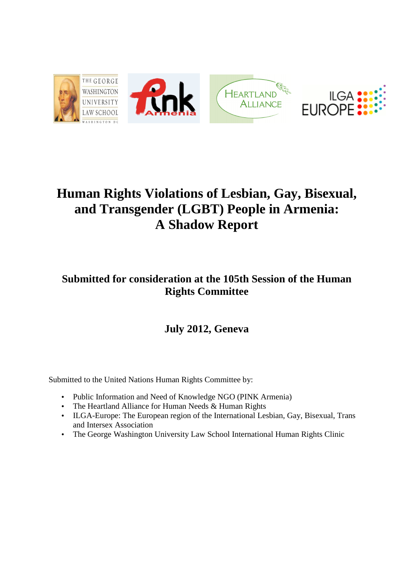

# **Human Rights Violations of Lesbian, Gay, Bisexual, and Transgender (LGBT) People in Armenia: A Shadow Report**

# **Submitted for consideration at the 105th Session of the Human Rights Committee**

# **July 2012, Geneva**

Submitted to the United Nations Human Rights Committee by:

- Public Information and Need of Knowledge NGO (PINK Armenia)
- The Heartland Alliance for Human Needs & Human Rights
- ILGA-Europe: The European region of the International Lesbian, Gay, Bisexual, Trans and Intersex Association
- The George Washington University Law School International Human Rights Clinic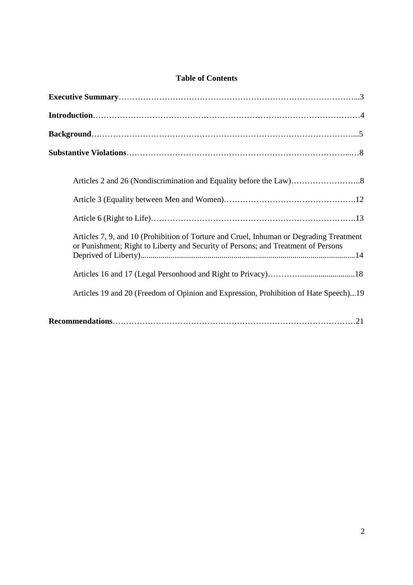# **Table of Contents**

| Articles 7, 9, and 10 (Prohibition of Torture and Cruel, Inhuman or Degrading Treatment<br>or Punishment; Right to Liberty and Security of Persons; and Treatment of Persons |
|------------------------------------------------------------------------------------------------------------------------------------------------------------------------------|
|                                                                                                                                                                              |
| Articles 19 and 20 (Freedom of Opinion and Expression, Prohibition of Hate Speech)19                                                                                         |
|                                                                                                                                                                              |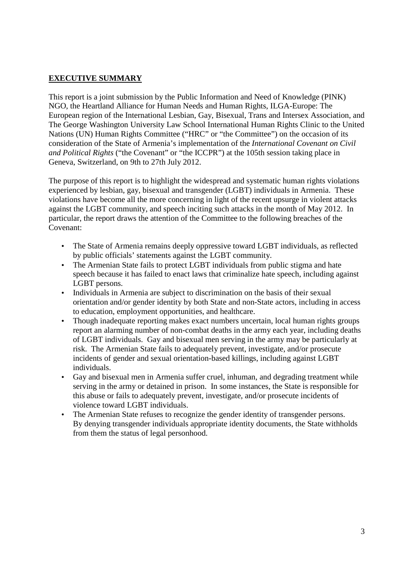# **EXECUTIVE SUMMARY**

This report is a joint submission by the Public Information and Need of Knowledge (PINK) NGO, the Heartland Alliance for Human Needs and Human Rights, ILGA-Europe: The European region of the International Lesbian, Gay, Bisexual, Trans and Intersex Association, and The George Washington University Law School International Human Rights Clinic to the United Nations (UN) Human Rights Committee ("HRC" or "the Committee") on the occasion of its consideration of the State of Armenia's implementation of the *International Covenant on Civil and Political Rights* ("the Covenant" or "the ICCPR") at the 105th session taking place in Geneva, Switzerland, on 9th to 27th July 2012.

The purpose of this report is to highlight the widespread and systematic human rights violations experienced by lesbian, gay, bisexual and transgender (LGBT) individuals in Armenia. These violations have become all the more concerning in light of the recent upsurge in violent attacks against the LGBT community, and speech inciting such attacks in the month of May 2012. In particular, the report draws the attention of the Committee to the following breaches of the Covenant:

- The State of Armenia remains deeply oppressive toward LGBT individuals, as reflected by public officials' statements against the LGBT community.
- The Armenian State fails to protect LGBT individuals from public stigma and hate speech because it has failed to enact laws that criminalize hate speech, including against LGBT persons.
- Individuals in Armenia are subject to discrimination on the basis of their sexual orientation and/or gender identity by both State and non-State actors, including in access to education, employment opportunities, and healthcare.
- Though inadequate reporting makes exact numbers uncertain, local human rights groups report an alarming number of non-combat deaths in the army each year, including deaths of LGBT individuals. Gay and bisexual men serving in the army may be particularly at risk. The Armenian State fails to adequately prevent, investigate, and/or prosecute incidents of gender and sexual orientation-based killings, including against LGBT individuals.
- Gay and bisexual men in Armenia suffer cruel, inhuman, and degrading treatment while serving in the army or detained in prison. In some instances, the State is responsible for this abuse or fails to adequately prevent, investigate, and/or prosecute incidents of violence toward LGBT individuals.
- The Armenian State refuses to recognize the gender identity of transgender persons. By denying transgender individuals appropriate identity documents, the State withholds from them the status of legal personhood.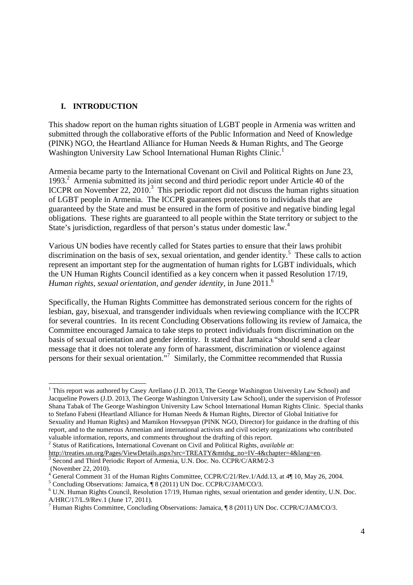# **I. INTRODUCTION**

This shadow report on the human rights situation of LGBT people in Armenia was written and submitted through the collaborative efforts of the Public Information and Need of Knowledge (PINK) NGO, the Heartland Alliance for Human Needs & Human Rights, and The George Washington University Law School International Human Rights Clinic.<sup>1</sup>

Armenia became party to the International Covenant on Civil and Political Rights on June 23, 1993.<sup>2</sup> Armenia submitted its joint second and third periodic report under Article 40 of the ICCPR on November 22, 2010.<sup>3</sup> This periodic report did not discuss the human rights situation of LGBT people in Armenia. The ICCPR guarantees protections to individuals that are guaranteed by the State and must be ensured in the form of positive and negative binding legal obligations. These rights are guaranteed to all people within the State territory or subject to the State's jurisdiction, regardless of that person's status under domestic law.<sup>4</sup>

Various UN bodies have recently called for States parties to ensure that their laws prohibit discrimination on the basis of sex, sexual orientation, and gender identity.<sup>5</sup> These calls to action represent an important step for the augmentation of human rights for LGBT individuals, which the UN Human Rights Council identified as a key concern when it passed Resolution 17/19, *Human rights, sexual orientation, and gender identity, in June 2011.*<sup>6</sup>

Specifically, the Human Rights Committee has demonstrated serious concern for the rights of lesbian, gay, bisexual, and transgender individuals when reviewing compliance with the ICCPR for several countries. In its recent Concluding Observations following its review of Jamaica, the Committee encouraged Jamaica to take steps to protect individuals from discrimination on the basis of sexual orientation and gender identity. It stated that Jamaica "should send a clear message that it does not tolerate any form of harassment, discrimination or violence against persons for their sexual orientation."<sup>7</sup> Similarly, the Committee recommended that Russia

 <sup>1</sup> This report was authored by Casey Arellano (J.D. 2013, The George Washington University Law School) and Jacqueline Powers (J.D. 2013, The George Washington University Law School), under the supervision of Professor Shana Tabak of The George Washington University Law School International Human Rights Clinic. Special thanks to Stefano Fabeni (Heartland Alliance for Human Needs & Human Rights, Director of Global Initiative for Sexuality and Human Rights) and Mamikon Hovsepyan (PINK NGO, Director) for guidance in the drafting of this report, and to the numerous Armenian and international activists and civil society organizations who contributed valuable information, reports, and comments throughout the drafting of this report.

<sup>2</sup> Status of Ratifications, International Covenant on Civil and Political Rights, *available at*:

http://treaties.un.org/Pages/ViewDetails.aspx?src=TREATY&mtdsg\_no=IV-4&chapter=4&lang=en.

<sup>3</sup> Second and Third Periodic Report of Armenia, U.N. Doc. No. CCPR/C/ARM/2-3 (November 22, 2010).

<sup>&</sup>lt;sup>4</sup> General Comment 31 of the Human Rights Committee, CCPR/C/21/Rev.1/Add.13, at 4¶ 10, May 26, 2004.

<sup>&</sup>lt;sup>5</sup> Concluding Observations: Jamaica, ¶ 8 (2011) UN Doc. CCPR/C/JAM/CO/3.

<sup>&</sup>lt;sup>6</sup> U.N. Human Rights Council, Resolution 17/19, Human rights, sexual orientation and gender identity, U.N. Doc. A/HRC/17/L.9/Rev.1 (June 17, 2011).

<sup>&</sup>lt;sup>7</sup> Human Rights Committee, Concluding Observations: Jamaica, ¶ 8 (2011) UN Doc. CCPR/C/JAM/CO/3.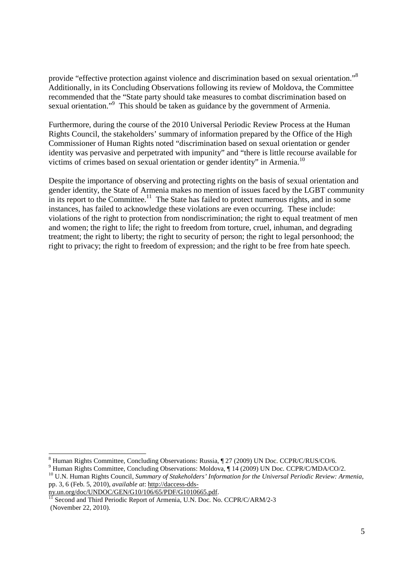provide "effective protection against violence and discrimination based on sexual orientation."<sup>8</sup> Additionally, in its Concluding Observations following its review of Moldova, the Committee recommended that the "State party should take measures to combat discrimination based on sexual orientation."<sup>9</sup> This should be taken as guidance by the government of Armenia.

Furthermore, during the course of the 2010 Universal Periodic Review Process at the Human Rights Council, the stakeholders' summary of information prepared by the Office of the High Commissioner of Human Rights noted "discrimination based on sexual orientation or gender identity was pervasive and perpetrated with impunity" and "there is little recourse available for victims of crimes based on sexual orientation or gender identity" in Armenia.<sup>10</sup>

Despite the importance of observing and protecting rights on the basis of sexual orientation and gender identity, the State of Armenia makes no mention of issues faced by the LGBT community in its report to the Committee.<sup>11</sup> The State has failed to protect numerous rights, and in some instances, has failed to acknowledge these violations are even occurring. These include: violations of the right to protection from nondiscrimination; the right to equal treatment of men and women; the right to life; the right to freedom from torture, cruel, inhuman, and degrading treatment; the right to liberty; the right to security of person; the right to legal personhood; the right to privacy; the right to freedom of expression; and the right to be free from hate speech.

<sup>8&</sup>lt;br>
8 Human Rights Committee, Concluding Observations: Russia, ¶ 27 (2009) UN Doc. CCPR/C/RUS/CO/6.

<sup>&</sup>lt;sup>9</sup> Human Rights Committee, Concluding Observations: Moldova, ¶ 14 (2009) UN Doc. CCPR/C/MDA/CO/2.

<sup>&</sup>lt;sup>10</sup> U.N. Human Rights Council, *Summary of Stakeholders' Information for the Universal Periodic Review: Armenia,* pp. 3, 6 (Feb. 5, 2010), *available at*: http://daccess-dds-

ny.un.org/doc/UNDOC/GEN/G10/106/65/PDF/G1010665.pdf.

<sup>&</sup>lt;sup>11</sup> Second and Third Periodic Report of Armenia, U.N. Doc. No. CCPR/C/ARM/2-3 (November 22, 2010).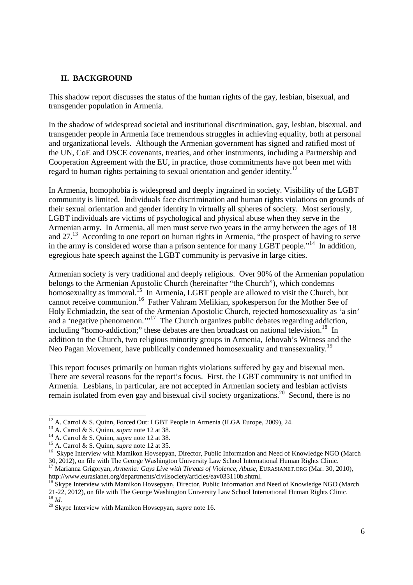#### **II. BACKGROUND**

This shadow report discusses the status of the human rights of the gay, lesbian, bisexual, and transgender population in Armenia.

In the shadow of widespread societal and institutional discrimination, gay, lesbian, bisexual, and transgender people in Armenia face tremendous struggles in achieving equality, both at personal and organizational levels. Although the Armenian government has signed and ratified most of the UN, CoE and OSCE covenants, treaties, and other instruments, including a Partnership and Cooperation Agreement with the EU, in practice, those commitments have not been met with regard to human rights pertaining to sexual orientation and gender identity.<sup>12</sup>

In Armenia, homophobia is widespread and deeply ingrained in society. Visibility of the LGBT community is limited. Individuals face discrimination and human rights violations on grounds of their sexual orientation and gender identity in virtually all spheres of society. Most seriously, LGBT individuals are victims of psychological and physical abuse when they serve in the Armenian army. In Armenia, all men must serve two years in the army between the ages of 18 and  $27<sup>13</sup>$  According to one report on human rights in Armenia, "the prospect of having to serve in the army is considered worse than a prison sentence for many LGBT people."<sup>14</sup> In addition, egregious hate speech against the LGBT community is pervasive in large cities.

Armenian society is very traditional and deeply religious. Over 90% of the Armenian population belongs to the Armenian Apostolic Church (hereinafter "the Church"), which condemns homosexuality as immoral.<sup>15</sup> In Armenia, LGBT people are allowed to visit the Church, but cannot receive communion.<sup>16</sup> Father Vahram Melikian, spokesperson for the Mother See of Holy Echmiadzin, the seat of the Armenian Apostolic Church, rejected homosexuality as 'a sin' and a 'negative phenomenon.'"<sup>17</sup> The Church organizes public debates regarding addiction, including "homo-addiction;" these debates are then broadcast on national television.<sup>18</sup> In addition to the Church, two religious minority groups in Armenia, Jehovah's Witness and the Neo Pagan Movement, have publically condemned homosexuality and transsexuality.<sup>19</sup>

This report focuses primarily on human rights violations suffered by gay and bisexual men. There are several reasons for the report's focus. First, the LGBT community is not unified in Armenia. Lesbians, in particular, are not accepted in Armenian society and lesbian activists remain isolated from even gay and bisexual civil society organizations.<sup>20</sup> Second, there is no

<u>.</u>

http://www.eurasianet.org/departments/civilsociety/articles/eav033110b.shtml.

 $12$  A. Carrol & S. Quinn, Forced Out: LGBT People in Armenia (ILGA Europe, 2009), 24.

<sup>13</sup> A. Carrol & S. Quinn, *supra* note 12 at 38.

<sup>14</sup> A. Carrol & S. Quinn, *supra* note 12 at 38.

<sup>15</sup> A. Carrol & S. Quinn, *supra* note 12 at 35.

<sup>&</sup>lt;sup>16</sup> Skype Interview with Mamikon Hovsepyan, Director, Public Information and Need of Knowledge NGO (March 30, 2012), on file with The George Washington University Law School International Human Rights Clinic. <sup>17</sup> Marianna Grigoryan, *Armenia: Gays Live with Threats of Violence, Abuse*, EURASIANET.ORG (Mar. 30, 2010),

Skype Interview with Mamikon Hovsepyan, Director, Public Information and Need of Knowledge NGO (March 21-22, 2012), on file with The George Washington University Law School International Human Rights Clinic.  $\int_{19}^{24}$  *Id.* 

<sup>&</sup>lt;sup>20</sup> Skype Interview with Mamikon Hovsepyan, *supra* note 16.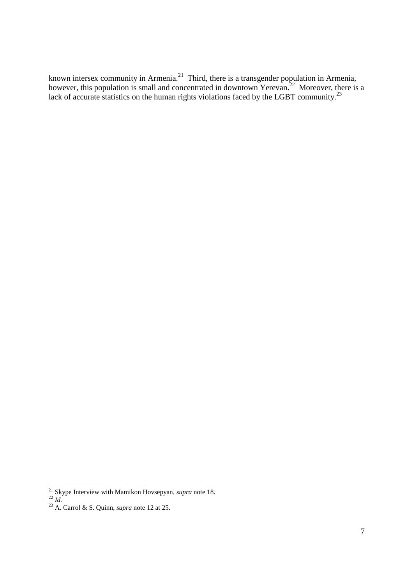known intersex community in Armenia.<sup>21</sup> Third, there is a transgender population in Armenia, however, this population is small and concentrated in downtown Yerevan.<sup>22</sup> Moreover, there is a lack of accurate statistics on the human rights violations faced by the LGBT community.<sup>23</sup>

**<sup>.</sup>** <sup>21</sup> Skype Interview with Mamikon Hovsepyan, *supra* note 18.

<sup>22</sup> *Id.*

<sup>23</sup> A. Carrol & S. Quinn, *supra* note 12 at 25.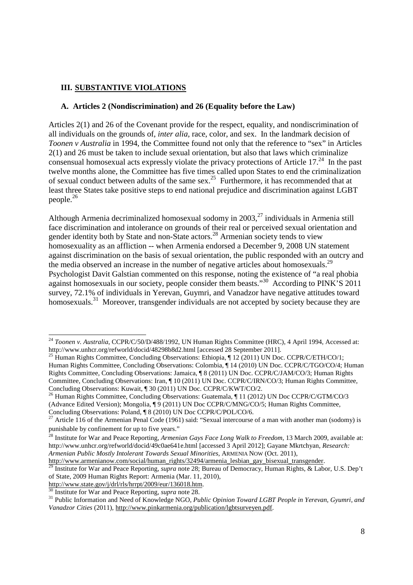# **III. SUBSTANTIVE VIOLATIONS**

#### **A. Articles 2 (Nondiscrimination) and 26 (Equality before the Law)**

Articles 2(1) and 26 of the Covenant provide for the respect, equality, and nondiscrimination of all individuals on the grounds of, *inter alia,* race, color, and sex. In the landmark decision of *Toonen v Australia* in 1994, the Committee found not only that the reference to "sex" in Articles 2(1) and 26 must be taken to include sexual orientation, but also that laws which criminalize consensual homosexual acts expressly violate the privacy protections of Article  $17<sup>24</sup>$  In the past twelve months alone, the Committee has five times called upon States to end the criminalization of sexual conduct between adults of the same sex.<sup>25</sup> Furthermore, it has recommended that at least three States take positive steps to end national prejudice and discrimination against LGBT people.<sup>26</sup>

Although Armenia decriminalized homosexual sodomy in  $2003$ <sup>27</sup> individuals in Armenia still face discrimination and intolerance on grounds of their real or perceived sexual orientation and gender identity both by State and non-State actors.<sup>28</sup> Armenian society tends to view homosexuality as an affliction -- when Armenia endorsed a December 9, 2008 UN statement against discrimination on the basis of sexual orientation, the public responded with an outcry and the media observed an increase in the number of negative articles about homosexuals.<sup>29</sup> Psychologist Davit Galstian commented on this response, noting the existence of "a real phobia against homosexuals in our society, people consider them beasts."<sup>30</sup> According to PINK'S 2011 survey, 72.1% of individuals in Yerevan, Guymri, and Vanadzor have negative attitudes toward homosexuals.<sup>31</sup> Moreover, transgender individuals are not accepted by society because they are

**.** 

<sup>24</sup> *Toonen v. Australia*, CCPR/C/50/D/488/1992, UN Human Rights Committee (HRC), 4 April 1994, Accessed at: http://www.unhcr.org/refworld/docid/48298b8d2.html [accessed 28 September 2011].

<sup>&</sup>lt;sup>25</sup> Human Rights Committee, Concluding Observations: Ethiopia,  $\P$  12 (2011) UN Doc. CCPR/C/ETH/CO/1; Human Rights Committee, Concluding Observations: Colombia, ¶ 14 (2010) UN Doc. CCPR/C/TGO/CO/4; Human Rights Committee, Concluding Observations: Jamaica, ¶ 8 (2011) UN Doc. CCPR/C/JAM/CO/3; Human Rights Committee, Concluding Observations: Iran, ¶ 10 (2011) UN Doc. CCPR/C/IRN/CO/3; Human Rights Committee, Concluding Observations: Kuwait, ¶ 30 (2011) UN Doc. CCPR/C/KWT/CO/2.

<sup>&</sup>lt;sup>26</sup> Human Rights Committee, Concluding Observations: Guatemala, ¶ 11 (2012) UN Doc CCPR/C/GTM/CO/3 (Advance Edited Version); Mongolia, ¶ 9 (2011) UN Doc CCPR/C/MNG/CO/5; Human Rights Committee, Concluding Observations: Poland, ¶ 8 (2010) UN Doc CCPR/C/POL/CO/6.

<sup>&</sup>lt;sup>27</sup> Article 116 of the Armenian Penal Code (1961) said: "Sexual intercourse of a man with another man (sodomy) is punishable by confinement for up to five years."

<sup>&</sup>lt;sup>28</sup> Institute for War and Peace Reporting, *Armenian Gays Face Long Walk to Freedom*, 13 March 2009, available at: http://www.unhcr.org/refworld/docid/49c0ae641e.html [accessed 3 April 2012]; Gayane Mkrtchyan, *Research: Armenian Public Mostly Intolerant Towards Sexual Minorities*, ARMENIA NOW (Oct. 2011),

http://www.armenianow.com/social/human\_rights/32494/armenia\_lesbian\_gay\_bisexual\_transgender. <sup>29</sup> Institute for War and Peace Reporting, *supra* note 28; Bureau of Democracy, Human Rights, & Labor, U.S. Dep't of State, 2009 Human Rights Report: Armenia (Mar. 11, 2010),

http://www.state.gov/j/drl/rls/hrrpt/2009/eur/136018.htm.

Institute for War and Peace Reporting, *supra* note 28.

<sup>&</sup>lt;sup>31</sup> Public Information and Need of Knowledge NGO, *Public Opinion Toward LGBT People in Yerevan, Gyumri, and Vanadzor Cities* (2011), http://www.pinkarmenia.org/publication/lgbtsurveyen.pdf.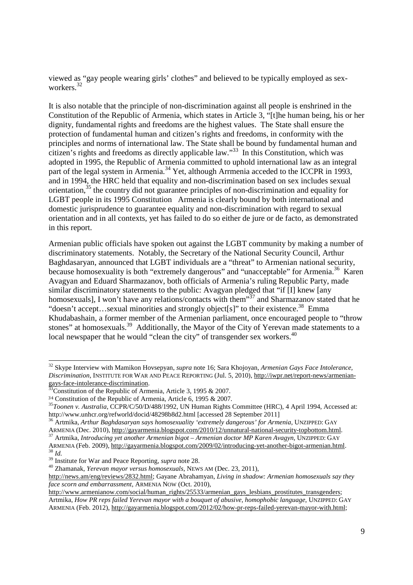viewed as "gay people wearing girls' clothes" and believed to be typically employed as sexworkers.<sup>32</sup>

It is also notable that the principle of non-discrimination against all people is enshrined in the Constitution of the Republic of Armenia, which states in Article 3, "[t]he human being, his or her dignity, fundamental rights and freedoms are the highest values. The State shall ensure the protection of fundamental human and citizen's rights and freedoms, in conformity with the principles and norms of international law. The State shall be bound by fundamental human and citizen's rights and freedoms as directly applicable law."<sup>33</sup> In this Constitution, which was adopted in 1995, the Republic of Armenia committed to uphold international law as an integral part of the legal system in Armenia.<sup>34</sup> Yet, although Arrmenia acceded to the ICCPR in 1993, and in 1994, the HRC held that equality and non-discrimination based on sex includes sexual orientation, $35$  the country did not guarantee principles of non-discrimination and equality for LGBT people in its 1995 Constitution Armenia is clearly bound by both international and domestic jurisprudence to guarantee equality and non-discrimination with regard to sexual orientation and in all contexts, yet has failed to do so either de jure or de facto, as demonstrated in this report.

Armenian public officials have spoken out against the LGBT community by making a number of discriminatory statements. Notably, the Secretary of the National Security Council, Arthur Baghdasaryan, announced that LGBT individuals are a "threat" to Armenian national security, because homosexuality is both "extremely dangerous" and "unacceptable" for Armenia.<sup>36</sup> Karen Avagyan and Eduard Sharmazanov, both officials of Armenia's ruling Republic Party, made similar discriminatory statements to the public: Avagyan pledged that "if [I] knew [any homosexuals], I won't have any relations/contacts with them"<sup>37</sup> and Sharmazanov stated that he "doesn't accept...sexual minorities and strongly object[s]" to their existence.<sup>38</sup> Emma Khudabashain, a former member of the Armenian parliament, once encouraged people to "throw stones" at homosexuals.<sup>39</sup> Additionally, the Mayor of the City of Yerevan made statements to a local newspaper that he would "clean the city" of transgender sex workers.<sup>40</sup>

-

<sup>32</sup> Skype Interview with Mamikon Hovsepyan, *supra* note 16; Sara Khojoyan, *Armenian Gays Face Intolerance, Discrimination*, INSTITUTE FOR WAR AND PEACE REPORTING (Jul. 5, 2010), http://iwpr.net/report-news/armeniangays-face-intolerance-discrimination.

 $33\overline{3}$ Constitution of the Republic of Armenia, Article 3, 1995 & 2007.

<sup>34</sup> Constitution of the Republic of Armenia, Article 6, 1995 & 2007.

<sup>35</sup>*Toonen v. Australia*, CCPR/C/50/D/488/1992, UN Human Rights Committee (HRC), 4 April 1994, Accessed at: http://www.unhcr.org/refworld/docid/48298b8d2.html [accessed 28 September 2011]

<sup>36</sup> Artmika, *Arthur Baghdasaryan says homosexuality 'extremely dangerous' for Armenia*, UNZIPPED: GAY

ARMENIA (Dec. 2010), http://gayarmenia.blogspot.com/2010/12/unnatural-national-security-topbottom.html. <sup>37</sup> Artmika, *Introducing yet another Armenian bigot – Armenian doctor MP Karen Avagyn*, UNZIPPED: GAY

ARMENIA (Feb. 2009), http://gayarmenia.blogspot.com/2009/02/introducing-yet-another-bigot-armenian.html. <sup>38</sup> *Id.*

<sup>&</sup>lt;sup>39</sup> Institute for War and Peace Reporting, *supra* note 28.

<sup>40</sup> Zhamanak, *Yerevan mayor versus homosexuals*, NEWS AM (Dec. 23, 2011),

http://news.am/eng/reviews/2832.html; Gayane Abrahamyan, *Living in shadow: Armenian homosexuals say they face scorn and embarrassment*, ARMENIA NOW (Oct. 2010),

http://www.armenianow.com/social/human\_rights/25533/armenian\_gays\_lesbians\_prostitutes\_transgenders; Artmika, *How PR reps failed Yerevan mayor with a bouquet of abusive, homophobic language*, UNZIPPED: GAY ARMENIA (Feb. 2012), http://gayarmenia.blogspot.com/2012/02/how-pr-reps-failed-yerevan-mayor-with.html;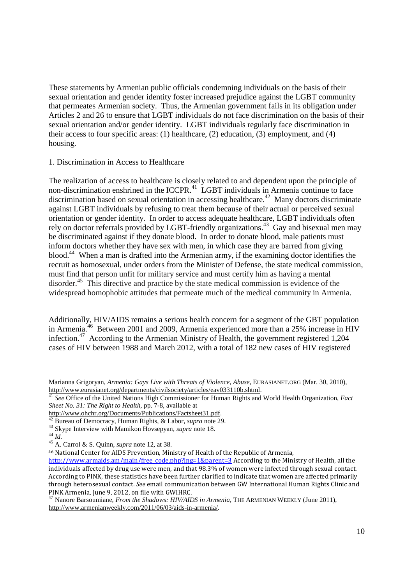These statements by Armenian public officials condemning individuals on the basis of their sexual orientation and gender identity foster increased prejudice against the LGBT community that permeates Armenian society. Thus, the Armenian government fails in its obligation under Articles 2 and 26 to ensure that LGBT individuals do not face discrimination on the basis of their sexual orientation and/or gender identity. LGBT individuals regularly face discrimination in their access to four specific areas: (1) healthcare, (2) education, (3) employment, and (4) housing.

#### 1. Discrimination in Access to Healthcare

The realization of access to healthcare is closely related to and dependent upon the principle of non-discrimination enshrined in the ICCPR. $41$  LGBT individuals in Armenia continue to face discrimination based on sexual orientation in accessing healthcare.<sup>42</sup> Many doctors discriminate against LGBT individuals by refusing to treat them because of their actual or perceived sexual orientation or gender identity. In order to access adequate healthcare, LGBT individuals often rely on doctor referrals provided by LGBT-friendly organizations.<sup>43</sup> Gay and bisexual men may be discriminated against if they donate blood. In order to donate blood, male patients must inform doctors whether they have sex with men, in which case they are barred from giving blood.<sup>44</sup> When a man is drafted into the Armenian army, if the examining doctor identifies the recruit as homosexual, under orders from the Minister of Defense, the state medical commission, must find that person unfit for military service and must certify him as having a mental disorder.<sup>45</sup> This directive and practice by the state medical commission is evidence of the widespread homophobic attitudes that permeate much of the medical community in Armenia.

Additionally, HIV/AIDS remains a serious health concern for a segment of the GBT population in Armenia.<sup>46</sup> Between 2001 and 2009, Armenia experienced more than a 25% increase in HIV infection.<sup>47</sup> According to the Armenian Ministry of Health, the government registered 1,204 cases of HIV between 1988 and March 2012, with a total of 182 new cases of HIV registered

**<sup>.</sup>** Marianna Grigoryan, *Armenia: Gays Live with Threats of Violence, Abuse*, EURASIANET.ORG (Mar. 30, 2010), http://www.eurasianet.org/departments/civilsociety/articles/eav033110b.shtml.

<sup>41</sup> *See* Office of the United Nations High Commissioner for Human Rights and World Health Organization, *Fact Sheet No. 31: The Right to Health,* pp. 7-8, available at

http://www.ohchr.org/Documents/Publications/Factsheet31.pdf.

<sup>42</sup> Bureau of Democracy, Human Rights, & Labor, *supra* note 29.

<sup>43</sup> Skype Interview with Mamikon Hovsepyan, *supra* note 18.

 $^{44}$   $\overline{Id}$ .

<sup>45</sup> A. Carrol & S. Quinn, *supra* note 12, at 38.

<sup>46</sup> National Center for AIDS Prevention, Ministry of Health of the Republic of Armenia,

http://www.armaids.am/main/free\_code.php?lng=1&parent=3 According to the Ministry of Health, all the individuals affected by drug use were men, and that 98.3% of women were infected through sexual contact. According to PINK, these statistics have been further clarified to indicate that women are affected primarily through heterosexual contact. *See* email communication between GW International Human Rights Clinic and PINK Armenia, June 9, 2012, on file with GWIHRC.

<sup>&</sup>lt;sup>47</sup> Nanore Barsoumiane, *From the Shadows: HIV/AIDS in Armenia*, THE ARMENIAN WEEKLY (June 2011), http://www.armenianweekly.com/2011/06/03/aids-in-armenia/.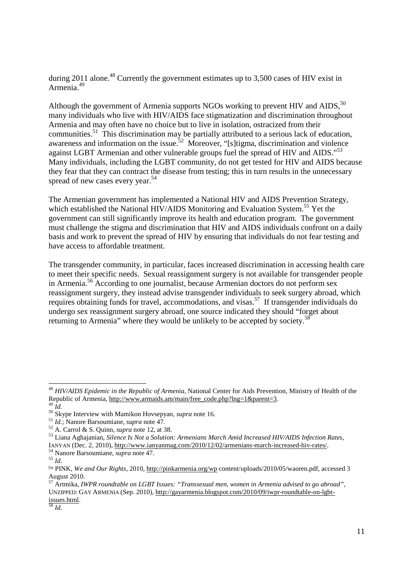during 2011 alone.<sup>48</sup> Currently the government estimates up to 3,500 cases of HIV exist in Armenia.<sup>49</sup>

Although the government of Armenia supports NGOs working to prevent HIV and AIDS.<sup>50</sup> many individuals who live with HIV/AIDS face stigmatization and discrimination throughout Armenia and may often have no choice but to live in isolation, ostracized from their communities.<sup>51</sup> This discrimination may be partially attributed to a serious lack of education, awareness and information on the issue.<sup>52</sup> Moreover, "[s]tigma, discrimination and violence against LGBT Armenian and other vulnerable groups fuel the spread of HIV and AIDS."<sup>53</sup> Many individuals, including the LGBT community, do not get tested for HIV and AIDS because they fear that they can contract the disease from testing; this in turn results in the unnecessary spread of new cases every year.<sup>54</sup>

The Armenian government has implemented a National HIV and AIDS Prevention Strategy, which established the National HIV/AIDS Monitoring and Evaluation System.<sup>55</sup> Yet the government can still significantly improve its health and education program. The government must challenge the stigma and discrimination that HIV and AIDS individuals confront on a daily basis and work to prevent the spread of HIV by ensuring that individuals do not fear testing and have access to affordable treatment.

The transgender community, in particular, faces increased discrimination in accessing health care to meet their specific needs. Sexual reassignment surgery is not available for transgender people in Armenia.<sup>56</sup> According to one journalist, because Armenian doctors do not perform sex reassignment surgery, they instead advise transgender individuals to seek surgery abroad, which requires obtaining funds for travel, accommodations, and visas.<sup>57</sup> If transgender individuals do undergo sex reassignment surgery abroad, one source indicated they should "forget about returning to Armenia" where they would be unlikely to be accepted by society.<sup>58</sup>

**.** 

<sup>48</sup> *HIV/AIDS Epidemic in the Republic of Armenia*, National Center for Aids Prevention, Ministry of Health of the Republic of Armenia, http://www.armaids.am/main/free\_code.php?lng=1&parent=3.  $\hat{d}$ .

<sup>50</sup> Skype Interview with Mamikon Hovsepyan, *supra* note 16.

<sup>51</sup> *Id.*; Nanore Barsoumiane, *supra* note 47.

<sup>52</sup> A. Carrol & S. Quinn, *supra* note 12, at 38.

<sup>53</sup> Liana Aghajanian, *Silence Is Not a Solution: Armenians March Amid Increased HIV/AIDS Infection Rates*, IANYAN (Dec. 2, 2010), http://www.ianyanmag.com/2010/12/02/armenians-march-increased-hiv-rates/.

<sup>54</sup> Nanore Barsoumiane, *supra* note 47.

 $^{55}$   $\overline{1d}$ .

<sup>56</sup> PINK, *We and Our Rights,* 2010, http://pinkarmenia.org/wp content/uploads/2010/05/waoren.pdf, accessed 3 August 2010.

<sup>57</sup> Artmika, *IWPR roundtable on LGBT Issues: "Transsexual men, women in Armenia advised to go abroad"*, UNZIPPED: GAY ARMENIA (Sep. 2010), http://gayarmenia.blogspot.com/2010/09/iwpr-roundtable-on-lgbtissues.html.

 $\overline{58}$  *Id.*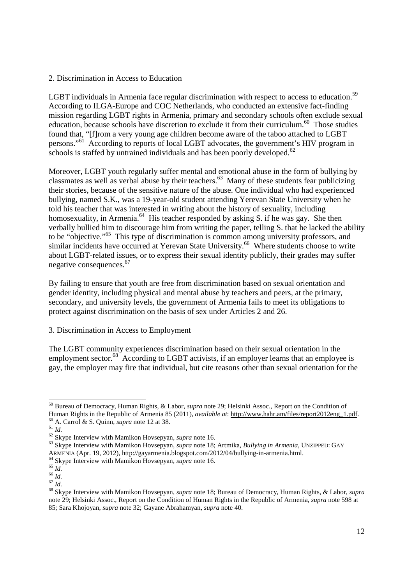### 2. Discrimination in Access to Education

LGBT individuals in Armenia face regular discrimination with respect to access to education.<sup>59</sup> According to ILGA-Europe and COC Netherlands, who conducted an extensive fact-finding mission regarding LGBT rights in Armenia, primary and secondary schools often exclude sexual education, because schools have discretion to exclude it from their curriculum.<sup>60</sup> Those studies found that, "[f]rom a very young age children become aware of the taboo attached to LGBT persons."<sup>61</sup> According to reports of local LGBT advocates, the government's HIV program in schools is staffed by untrained individuals and has been poorly developed.<sup>62</sup>

Moreover, LGBT youth regularly suffer mental and emotional abuse in the form of bullying by classmates as well as verbal abuse by their teachers. <sup>63</sup> Many of these students fear publicizing their stories, because of the sensitive nature of the abuse. One individual who had experienced bullying, named S.K., was a 19-year-old student attending Yerevan State University when he told his teacher that was interested in writing about the history of sexuality, including homosexuality, in Armenia.<sup>64</sup> His teacher responded by asking S. if he was gay. She then verbally bullied him to discourage him from writing the paper, telling S. that he lacked the ability to be "objective."<sup>65</sup> This type of discrimination is common among university professors, and similar incidents have occurred at Yerevan State University.<sup>66</sup> Where students choose to write about LGBT-related issues, or to express their sexual identity publicly, their grades may suffer negative consequences.<sup>67</sup>

By failing to ensure that youth are free from discrimination based on sexual orientation and gender identity, including physical and mental abuse by teachers and peers, at the primary, secondary, and university levels, the government of Armenia fails to meet its obligations to protect against discrimination on the basis of sex under Articles 2 and 26.

#### 3. Discrimination in Access to Employment

The LGBT community experiences discrimination based on their sexual orientation in the employment sector.<sup>68</sup> According to LGBT activists, if an employer learns that an employee is gay, the employer may fire that individual, but cite reasons other than sexual orientation for the

-

<sup>59</sup> Bureau of Democracy, Human Rights, & Labor, *supra* note 29; Helsinki Assoc., Report on the Condition of Human Rights in the Republic of Armenia 85 (2011), *available at*: http://www.hahr.am/files/report2012eng\_1.pdf. <sup>60</sup> A. Carrol & S. Quinn, *supra* note 12 at 38.

 $61$   $\overline{Id}$ .

<sup>62</sup> Skype Interview with Mamikon Hovsepyan, *supra* note 16.

<sup>63</sup> Skype Interview with Mamikon Hovsepyan, *supra* note 18; Artmika, *Bullying in Armenia*, UNZIPPED: GAY ARMENIA (Apr. 19, 2012), http://gayarmenia.blogspot.com/2012/04/bullying-in-armenia.html.

<sup>64</sup> Skype Interview with Mamikon Hovsepyan, *supra* note 16.

 $^{65}$   $\overline{Id}$ .

 $66 \frac{100}{1}$ 

 $67$   $\overline{Id}$ .

<sup>68</sup> Skype Interview with Mamikon Hovsepyan, *supra* note 18; Bureau of Democracy, Human Rights, & Labor, *supra* note 29; Helsinki Assoc., Report on the Condition of Human Rights in the Republic of Armenia, *supra* note 598 at 85; Sara Khojoyan, *supra* note 32; Gayane Abrahamyan, *supra* note 40.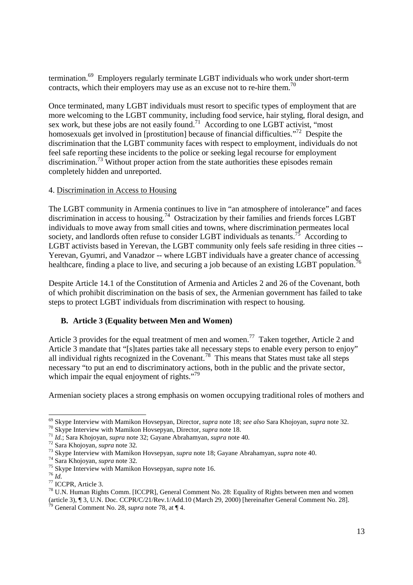termination.<sup>69</sup> Employers regularly terminate LGBT individuals who work under short-term contracts, which their employers may use as an excuse not to re-hire them.<sup>70</sup>

Once terminated, many LGBT individuals must resort to specific types of employment that are more welcoming to the LGBT community, including food service, hair styling, floral design, and sex work, but these jobs are not easily found.<sup>71</sup> According to one LGBT activist, "most homosexuals get involved in [prostitution] because of financial difficulties.<sup>"72</sup> Despite the discrimination that the LGBT community faces with respect to employment, individuals do not feel safe reporting these incidents to the police or seeking legal recourse for employment discrimination.<sup>73</sup> Without proper action from the state authorities these episodes remain completely hidden and unreported.

#### 4. Discrimination in Access to Housing

The LGBT community in Armenia continues to live in "an atmosphere of intolerance" and faces discrimination in access to housing.<sup>74</sup> Ostracization by their families and friends forces LGBT individuals to move away from small cities and towns, where discrimination permeates local society, and landlords often refuse to consider LGBT individuals as tenants.<sup>75</sup> According to LGBT activists based in Yerevan, the LGBT community only feels safe residing in three cities -- Yerevan, Gyumri, and Vanadzor -- where LGBT individuals have a greater chance of accessing<br>Yerevan, Gyumri, and Vanadzor -- where LGBT individuals have a greater chance of accessing healthcare, finding a place to live, and securing a job because of an existing LGBT population.

Despite Article 14.1 of the Constitution of Armenia and Articles 2 and 26 of the Covenant, both of which prohibit discrimination on the basis of sex, the Armenian government has failed to take steps to protect LGBT individuals from discrimination with respect to housing.

# **B. Article 3 (Equality between Men and Women)**

Article 3 provides for the equal treatment of men and women.<sup>77</sup> Taken together, Article 2 and Article 3 mandate that "[s]tates parties take all necessary steps to enable every person to enjoy" all individual rights recognized in the Covenant.<sup>78</sup> This means that States must take all steps necessary "to put an end to discriminatory actions, both in the public and the private sector, which impair the equal enjoyment of rights."<sup>79</sup>

Armenian society places a strong emphasis on women occupying traditional roles of mothers and

<sup>-</sup><sup>69</sup> Skype Interview with Mamikon Hovsepyan, Director, *supra* note 18; *see also* Sara Khojoyan, *supra* note 32.

<sup>70</sup> Skype Interview with Mamikon Hovsepyan, Director, *supra* note 18.

<sup>71</sup> *Id.*; Sara Khojoyan, *supra* note 32; Gayane Abrahamyan, *supra* note 40.

<sup>72</sup> Sara Khojoyan, *supra* note 32.

<sup>73</sup> Skype Interview with Mamikon Hovsepyan, *supra* note 18; Gayane Abrahamyan, *supra* note 40.

<sup>74</sup> Sara Khojoyan, *supra* note 32.

<sup>75</sup> Skype Interview with Mamikon Hovsepyan, *supra* note 16.

<sup>76</sup> *Id.* 

<sup>77</sup> ICCPR, Article 3.

<sup>78</sup> U.N. Human Rights Comm. [ICCPR], General Comment No. 28: Equality of Rights between men and women (article 3), ¶ 3, U.N. Doc. CCPR/C/21/Rev.1/Add.10 (March 29, 2000) [hereinafter General Comment No. 28].

<sup>79</sup> General Comment No. 28, *supra* note 78, at ¶ 4.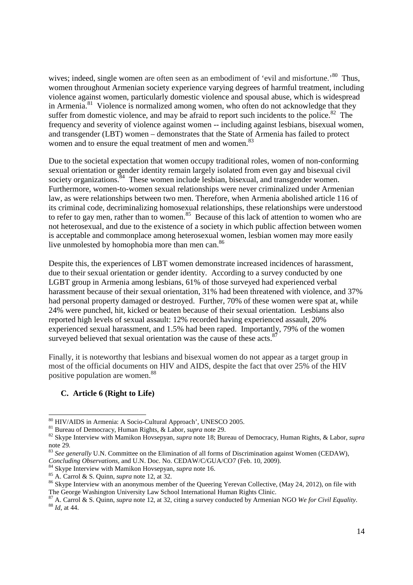wives; indeed, single women are often seen as an embodiment of 'evil and misfortune.'<sup>80</sup> Thus, women throughout Armenian society experience varying degrees of harmful treatment, including violence against women, particularly domestic violence and spousal abuse, which is widespread in Armenia. $81$  Violence is normalized among women, who often do not acknowledge that they suffer from domestic violence, and may be afraid to report such incidents to the police.<sup>82</sup> The frequency and severity of violence against women -- including against lesbians, bisexual women, and transgender (LBT) women – demonstrates that the State of Armenia has failed to protect women and to ensure the equal treatment of men and women.<sup>83</sup>

Due to the societal expectation that women occupy traditional roles, women of non-conforming sexual orientation or gender identity remain largely isolated from even gay and bisexual civil society organizations.<sup>84</sup> These women include lesbian, bisexual, and transgender women. Furthermore, women-to-women sexual relationships were never criminalized under Armenian law, as were relationships between two men. Therefore, when Armenia abolished article 116 of its criminal code, decriminalizing homosexual relationships, these relationships were understood to refer to gay men, rather than to women.<sup>85</sup> Because of this lack of attention to women who are not heterosexual, and due to the existence of a society in which public affection between women is acceptable and commonplace among heterosexual women, lesbian women may more easily live unmolested by homophobia more than men can.<sup>86</sup>

Despite this, the experiences of LBT women demonstrate increased incidences of harassment, due to their sexual orientation or gender identity. According to a survey conducted by one LGBT group in Armenia among lesbians, 61% of those surveyed had experienced verbal harassment because of their sexual orientation, 31% had been threatened with violence, and 37% had personal property damaged or destroyed. Further, 70% of these women were spat at, while 24% were punched, hit, kicked or beaten because of their sexual orientation. Lesbians also reported high levels of sexual assault: 12% recorded having experienced assault, 20% experienced sexual harassment, and 1.5% had been raped. Importantly, 79% of the women surveyed believed that sexual orientation was the cause of these acts.<sup>8</sup>

Finally, it is noteworthy that lesbians and bisexual women do not appear as a target group in most of the official documents on HIV and AIDS, despite the fact that over 25% of the HIV positive population are women.<sup>88</sup>

#### **C. Article 6 (Right to Life)**

<sup>-</sup><sup>80</sup> HIV/AIDS in Armenia: A Socio-Cultural Approach', UNESCO 2005.

<sup>81</sup> Bureau of Democracy, Human Rights, & Labor, *supra* note 29.

<sup>82</sup> Skype Interview with Mamikon Hovsepyan, *supra* note 18; Bureau of Democracy, Human Rights, & Labor, *supra* note 29.

<sup>83</sup> *See generally* U.N. Committee on the Elimination of all forms of Discrimination against Women (CEDAW), *Concluding Observations,* and U.N. Doc. No. CEDAW/C/GUA/CO7 (Feb. 10, 2009).

<sup>84</sup> Skype Interview with Mamikon Hovsepyan, *supra* note 16.

<sup>85</sup> A. Carrol & S. Quinn, *supra* note 12, at 32.

<sup>&</sup>lt;sup>86</sup> Skype Interview with an anonymous member of the Queering Yerevan Collective, (May 24, 2012), on file with The George Washington University Law School International Human Rights Clinic.

<sup>87</sup> A. Carrol & S. Quinn, *supra* note 12, at 32, citing a survey conducted by Armenian NGO *We for Civil Equality*. <sup>88</sup> *Id*, at 44.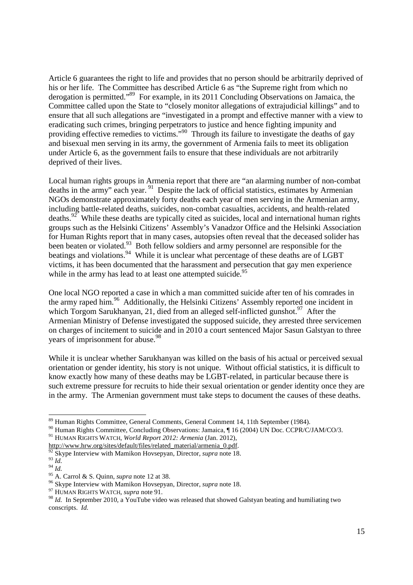Article 6 guarantees the right to life and provides that no person should be arbitrarily deprived of his or her life. The Committee has described Article 6 as "the Supreme right from which no derogation is permitted."<sup>89</sup> For example, in its 2011 Concluding Observations on Jamaica, the Committee called upon the State to "closely monitor allegations of extrajudicial killings" and to ensure that all such allegations are "investigated in a prompt and effective manner with a view to eradicating such crimes, bringing perpetrators to justice and hence fighting impunity and providing effective remedies to victims."<sup>90</sup> Through its failure to investigate the deaths of gay and bisexual men serving in its army, the government of Armenia fails to meet its obligation under Article 6, as the government fails to ensure that these individuals are not arbitrarily deprived of their lives.

Local human rights groups in Armenia report that there are "an alarming number of non-combat deaths in the army" each year. <sup>91</sup> Despite the lack of official statistics, estimates by Armenian NGOs demonstrate approximately forty deaths each year of men serving in the Armenian army, including battle-related deaths, suicides, non-combat casualties, accidents, and health-related deaths.<sup>92</sup> While these deaths are typically cited as suicides, local and international human rights groups such as the Helsinki Citizens' Assembly's Vanadzor Office and the Helsinki Association for Human Rights report that in many cases, autopsies often reveal that the deceased solider has been beaten or violated.<sup>93</sup> Both fellow soldiers and army personnel are responsible for the beatings and violations.<sup>94</sup> While it is unclear what percentage of these deaths are of LGBT victims, it has been documented that the harassment and persecution that gay men experience while in the army has lead to at least one attempted suicide.<sup>95</sup>

One local NGO reported a case in which a man committed suicide after ten of his comrades in the army raped him.<sup>96</sup> Additionally, the Helsinki Citizens' Assembly reported one incident in which Torgom Sarukhanyan, 21, died from an alleged self-inflicted gunshot.<sup>97</sup> After the Armenian Ministry of Defense investigated the supposed suicide, they arrested three servicemen on charges of incitement to suicide and in 2010 a court sentenced Major Sasun Galstyan to three years of imprisonment for abuse.<sup>98</sup>

While it is unclear whether Sarukhanyan was killed on the basis of his actual or perceived sexual orientation or gender identity, his story is not unique. Without official statistics, it is difficult to know exactly how many of these deaths may be LGBT-related, in particular because there is such extreme pressure for recruits to hide their sexual orientation or gender identity once they are in the army. The Armenian government must take steps to document the causes of these deaths.

<sup>-</sup><sup>89</sup> Human Rights Committee, General Comments, General Comment 14, 11th September (1984).

<sup>90</sup> Human Rights Committee, Concluding Observations: Jamaica, ¶ 16 (2004) UN Doc. CCPR/C/JAM/CO/3.

<sup>91</sup> HUMAN RIGHTS WATCH, *World Report 2012: Armenia* (Jan. 2012),

http://www.hrw.org/sites/default/files/related\_material/armenia\_0.pdf.

Skype Interview with Mamikon Hovsepyan, Director, *supra* note 18.

<sup>93</sup> *Id.*

 $\frac{94}{1}$ 

<sup>95</sup> A. Carrol & S. Quinn, *supra* note 12 at 38.

<sup>96</sup> Skype Interview with Mamikon Hovsepyan, Director, *supra* note 18.

<sup>97</sup> HUMAN RIGHTS WATCH, *supra* note 91.

<sup>&</sup>lt;sup>98</sup> *Id.* In September 2010, a YouTube video was released that showed Galstyan beating and humiliating two conscripts. *Id.*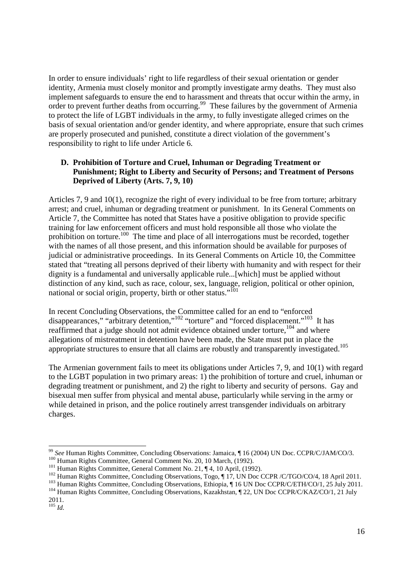In order to ensure individuals' right to life regardless of their sexual orientation or gender identity, Armenia must closely monitor and promptly investigate army deaths. They must also implement safeguards to ensure the end to harassment and threats that occur within the army, in order to prevent further deaths from occurring.<sup>99</sup> These failures by the government of Armenia to protect the life of LGBT individuals in the army, to fully investigate alleged crimes on the basis of sexual orientation and/or gender identity, and where appropriate, ensure that such crimes are properly prosecuted and punished, constitute a direct violation of the government's responsibility to right to life under Article 6.

### **D. Prohibition of Torture and Cruel, Inhuman or Degrading Treatment or Punishment; Right to Liberty and Security of Persons; and Treatment of Persons Deprived of Liberty (Arts. 7, 9, 10)**

Articles 7, 9 and 10(1), recognize the right of every individual to be free from torture; arbitrary arrest; and cruel, inhuman or degrading treatment or punishment. In its General Comments on Article 7, the Committee has noted that States have a positive obligation to provide specific training for law enforcement officers and must hold responsible all those who violate the prohibition on torture.<sup>100</sup> The time and place of all interrogations must be recorded, together with the names of all those present, and this information should be available for purposes of judicial or administrative proceedings. In its General Comments on Article 10, the Committee stated that "treating all persons deprived of their liberty with humanity and with respect for their dignity is a fundamental and universally applicable rule...[which] must be applied without distinction of any kind, such as race, colour, sex, language, religion, political or other opinion, national or social origin, property, birth or other status."<sup>101</sup>

In recent Concluding Observations, the Committee called for an end to "enforced disappearances," "arbitrary detention,"<sup>102</sup> "torture" and "forced displacement."<sup>103</sup> It has reaffirmed that a judge should not admit evidence obtained under torture,  $104$  and where allegations of mistreatment in detention have been made, the State must put in place the appropriate structures to ensure that all claims are robustly and transparently investigated.<sup>105</sup>

The Armenian government fails to meet its obligations under Articles 7, 9, and 10(1) with regard to the LGBT population in two primary areas: 1) the prohibition of torture and cruel, inhuman or degrading treatment or punishment, and 2) the right to liberty and security of persons. Gay and bisexual men suffer from physical and mental abuse, particularly while serving in the army or while detained in prison, and the police routinely arrest transgender individuals on arbitrary charges.

**<sup>.</sup>** <sup>99</sup> *See* Human Rights Committee, Concluding Observations: Jamaica, ¶ 16 (2004) UN Doc. CCPR/C/JAM/CO/3.

<sup>&</sup>lt;sup>100</sup> Human Rights Committee, General Comment No. 20, 10 March, (1992).

<sup>101</sup> Human Rights Committee, General Comment No. 21, ¶ 4, 10 April, (1992).

<sup>&</sup>lt;sup>102</sup> Human Rights Committee, Concluding Observations, Togo, ¶ 17, UN Doc CCPR /C/TGO/CO/4, 18 April 2011.

<sup>&</sup>lt;sup>103</sup> Human Rights Committee, Concluding Observations, Ethiopia, ¶ 16 UN Doc CCPR/C/ETH/CO/1, 25 July 2011.

<sup>&</sup>lt;sup>104</sup> Human Rights Committee, Concluding Observations, Kazakhstan, ¶ 22, UN Doc CCPR/C/KAZ/CO/1, 21 July 2011.

<sup>105</sup> *Id.*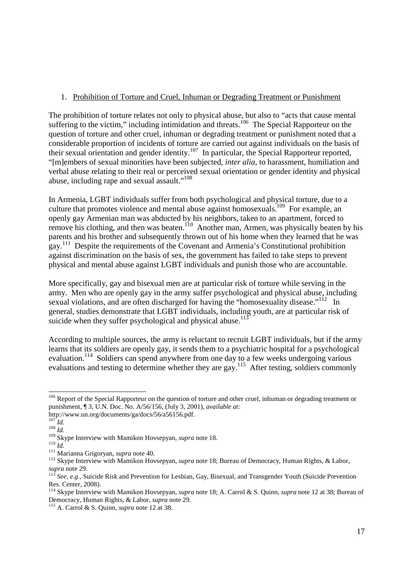### 1. Prohibition of Torture and Cruel, Inhuman or Degrading Treatment or Punishment

The prohibition of torture relates not only to physical abuse, but also to "acts that cause mental suffering to the victim," including intimidation and threats.<sup>106</sup> The Special Rapporteur on the question of torture and other cruel, inhuman or degrading treatment or punishment noted that a considerable proportion of incidents of torture are carried out against individuals on the basis of their sexual orientation and gender identity.<sup>107</sup> In particular, the Special Rapporteur reported, "[m]embers of sexual minorities have been subjected, *inter alia*, to harassment, humiliation and verbal abuse relating to their real or perceived sexual orientation or gender identity and physical abuse, including rape and sexual assault."<sup>108</sup>

In Armenia, LGBT individuals suffer from both psychological and physical torture, due to a culture that promotes violence and mental abuse against homosexuals.<sup>109</sup> For example, an openly gay Armenian man was abducted by his neighbors, taken to an apartment, forced to remove his clothing, and then was beaten.<sup>110</sup> Another man, Armen, was physically beaten by his parents and his brother and subsequently thrown out of his home when they learned that he was gay.<sup>111</sup> Despite the requirements of the Covenant and Armenia's Constitutional prohibition against discrimination on the basis of sex, the government has failed to take steps to prevent physical and mental abuse against LGBT individuals and punish those who are accountable.

More specifically, gay and bisexual men are at particular risk of torture while serving in the army. Men who are openly gay in the army suffer psychological and physical abuse, including sexual violations, and are often discharged for having the "homosexuality disease."<sup>112</sup> In general, studies demonstrate that LGBT individuals, including youth, are at particular risk of suicide when they suffer psychological and physical abuse.<sup>113</sup>

According to multiple sources, the army is reluctant to recruit LGBT individuals, but if the army learns that its soldiers are openly gay, it sends them to a psychiatric hospital for a psychological evaluation.<sup>114</sup> Soldiers can spend anywhere from one day to a few weeks undergoing various evaluations and testing to determine whether they are gay.<sup>115</sup> After testing, soldiers commonly

-

<sup>&</sup>lt;sup>106</sup> Report of the Special Rapporteur on the question of torture and other cruel, inhuman or degrading treatment or punishment, ¶ 3, U.N. Doc. No. A/56/156, (July 3, 2001), *available at*:

http://www.un.org/documents/ga/docs/56/a56156.pdf.

 $^{107}$ *Id.* 

<sup>108</sup> *Id.* 

<sup>109</sup> Skype Interview with Mamikon Hovsepyan, *supra* note 18.

<sup>110</sup> *Id.*

<sup>111</sup> Marianna Grigoryan, *supra* note 40.

<sup>&</sup>lt;sup>112</sup> Skype Interview with Mamikon Hovsepyan, *supra* note 18; Bureau of Democracy, Human Rights, & Labor, *supra* note 29.<br> $\frac{13}{113}$ 

<sup>113</sup> *See, e.g.,* Suicide Risk and Prevention for Lesbian, Gay, Bisexual, and Transgender Youth (Suicide Prevention Res. Center, 2008).

<sup>114</sup> Skype Interview with Mamikon Hovsepyan, *supra* note 18; A. Carrol & S. Quinn, *supra* note 12 at 38; Bureau of Democracy, Human Rights, & Labor, *supra* note 29.

<sup>115</sup> A. Carrol & S. Quinn, *supra* note 12 at 38.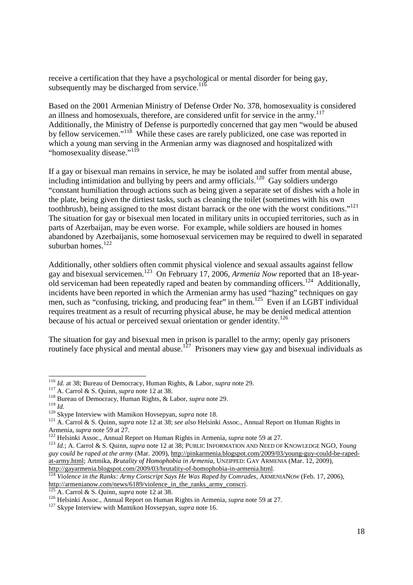receive a certification that they have a psychological or mental disorder for being gay, subsequently may be discharged from service.<sup>116</sup>

Based on the 2001 Armenian Ministry of Defense Order No. 378, homosexuality is considered an illness and homosexuals, therefore, are considered unfit for service in the army.<sup>117</sup> Additionally, the Ministry of Defense is purportedly concerned that gay men "would be abused by fellow servicemen."<sup>118</sup> While these cases are rarely publicized, one case was reported in which a young man serving in the Armenian army was diagnosed and hospitalized with "homosexuality disease."<sup>119</sup>

If a gay or bisexual man remains in service, he may be isolated and suffer from mental abuse, including intimidation and bullying by peers and army officials.<sup>120</sup> Gay soldiers undergo "constant humiliation through actions such as being given a separate set of dishes with a hole in the plate, being given the dirtiest tasks, such as cleaning the toilet (sometimes with his own toothbrush), being assigned to the most distant barrack or the one with the worst conditions."<sup>121</sup> The situation for gay or bisexual men located in military units in occupied territories, such as in parts of Azerbaijan, may be even worse. For example, while soldiers are housed in homes abandoned by Azerbaijanis, some homosexual servicemen may be required to dwell in separated suburban homes.<sup>122</sup>

Additionally, other soldiers often commit physical violence and sexual assaults against fellow gay and bisexual servicemen.<sup>123</sup> On February 17, 2006, *Armenia Now* reported that an 18-yearold serviceman had been repeatedly raped and beaten by commanding officers.<sup>124</sup> Additionally, incidents have been reported in which the Armenian army has used "hazing" techniques on gay men, such as "confusing, tricking, and producing fear" in them.<sup>125</sup> Even if an LGBT individual requires treatment as a result of recurring physical abuse, he may be denied medical attention because of his actual or perceived sexual orientation or gender identity.<sup>126</sup>

The situation for gay and bisexual men in prison is parallel to the army; openly gay prisoners routinely face physical and mental abuse.<sup>127</sup> Prisoners may view gay and bisexual individuals as

**<sup>.</sup>** <sup>116</sup> *Id.* at 38; Bureau of Democracy, Human Rights, & Labor, *supra* note 29.

<sup>117</sup> A. Carrol & S. Quinn, *supra* note 12 at 38.

<sup>118</sup> Bureau of Democracy, Human Rights, & Labor, *supra* note 29.

<sup>119</sup> *Id.*

<sup>120</sup> Skype Interview with Mamikon Hovsepyan, *supra* note 18.

<sup>121</sup> A. Carrol & S. Quinn, *supra* note 12 at 38; *see also* Helsinki Assoc., Annual Report on Human Rights in Armenia, *supra* note 59 at 27.

<sup>122</sup> Helsinki Assoc., Annual Report on Human Rights in Armenia*, supra* note 59 at 27.

<sup>123</sup> *Id.*; A. Carrol & S. Quinn, *supra* note 12 at 38; PUBLIC INFORMATION AND NEED OF KNOWLEDGE NGO, *Young guy could be raped at the army* (Mar. 2009), http://pinkarmenia.blogspot.com/2009/03/young-guy-could-be-rapedat-army.html; Artmika, *Brutality of Homophobia in Armenia*, UNZIPPED: GAY ARMENIA (Mar. 12, 2009), http://gayarmenia.blogspot.com/2009/03/brutality-of-homophobia-in-armenia.html.<br>
<sup>124</sup> Victoria: in the Later Later Common Common Common State Common State Common State Common State Common State Common State Common State C

<sup>124</sup> *Violence in the Ranks: Army Conscript Says He Was Raped by Comrades*, ARMENIANOW (Feb. 17, 2006), http://armenianow.com/news/6189/violence\_in\_the\_ranks\_army\_conscri.

<sup>125</sup> A. Carrol & S. Quinn, *supra* note 12 at 38.

<sup>126</sup> Helsinki Assoc., Annual Report on Human Rights in Armenia*, supra* note 59 at 27.

<sup>&</sup>lt;sup>127</sup> Skype Interview with Mamikon Hovsepyan, *supra* note 16.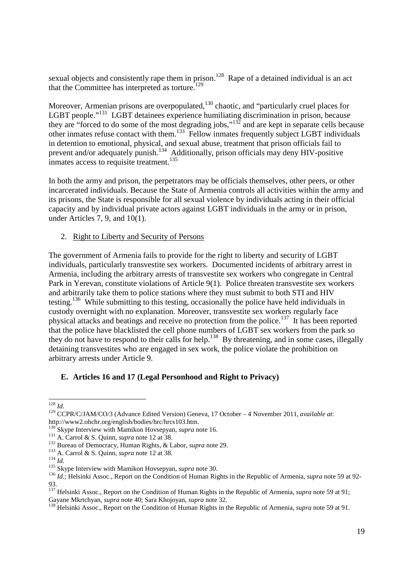sexual objects and consistently rape them in prison.<sup>128</sup> Rape of a detained individual is an act that the Committee has interpreted as torture.<sup>129</sup>

Moreover, Armenian prisons are overpopulated, $130$  chaotic, and "particularly cruel places for LGBT people."<sup>131</sup> LGBT detainees experience humiliating discrimination in prison, because they are "forced to do some of the most degrading jobs,"<sup>132</sup> and are kept in separate cells because other inmates refuse contact with them.<sup>133</sup> Fellow inmates frequently subject LGBT individuals in detention to emotional, physical, and sexual abuse, treatment that prison officials fail to prevent and/or adequately punish.<sup>134</sup> Additionally, prison officials may deny HIV-positive inmates access to requisite treatment.<sup>135</sup>

In both the army and prison, the perpetrators may be officials themselves, other peers, or other incarcerated individuals. Because the State of Armenia controls all activities within the army and its prisons, the State is responsible for all sexual violence by individuals acting in their official capacity and by individual private actors against LGBT individuals in the army or in prison, under Articles 7, 9, and 10(1).

2. Right to Liberty and Security of Persons

The government of Armenia fails to provide for the right to liberty and security of LGBT individuals, particularly transvestite sex workers. Documented incidents of arbitrary arrest in Armenia, including the arbitrary arrests of transvestite sex workers who congregate in Central Park in Yerevan, constitute violations of Article 9(1). Police threaten transvestite sex workers and arbitrarily take them to police stations where they must submit to both STI and HIV testing.<sup>136</sup> While submitting to this testing, occasionally the police have held individuals in custody overnight with no explanation. Moreover, transvestite sex workers regularly face physical attacks and beatings and receive no protection from the police.<sup>137</sup> It has been reported that the police have blacklisted the cell phone numbers of LGBT sex workers from the park so they do not have to respond to their calls for help.<sup>138</sup> By threatening, and in some cases, illegally detaining transvestites who are engaged in sex work, the police violate the prohibition on arbitrary arrests under Article 9.

### **E. Articles 16 and 17 (Legal Personhood and Right to Privacy)**

<sup>-</sup><sup>128</sup> *Id.*

<sup>129</sup> CCPR/C/JAM/CO/3 (Advance Edited Version) Geneva, 17 October – 4 November 2011, *available at*: http://www2.ohchr.org/english/bodies/hrc/hrcs103.htm.

<sup>130</sup> Skype Interview with Mamikon Hovsepyan, *supra* note 16.

<sup>&</sup>lt;sup>131</sup> A. Carrol & S. Quinn, *supra* note 12 at 38.

<sup>132</sup> Bureau of Democracy, Human Rights, & Labor, *supra* note 29.

<sup>133</sup> A. Carrol & S. Quinn, *supra* note 12 at 38.

<sup>134</sup> *Id.*

<sup>&</sup>lt;sup>135</sup> Skype Interview with Mamikon Hovsepyan, *supra* note 30.

<sup>136</sup> *Id.*; Helsinki Assoc., Report on the Condition of Human Rights in the Republic of Armenia, *supra* note 59 at 92- 93.

<sup>&</sup>lt;sup>137</sup> Helsinki Assoc., Report on the Condition of Human Rights in the Republic of Armenia, *supra* note 59 at 91; Gayane Mkrtchyan, *supra* note 40; Sara Khojoyan, *supra* note 32.

<sup>138</sup> Helsinki Assoc., Report on the Condition of Human Rights in the Republic of Armenia, *supra* note 59 at 91.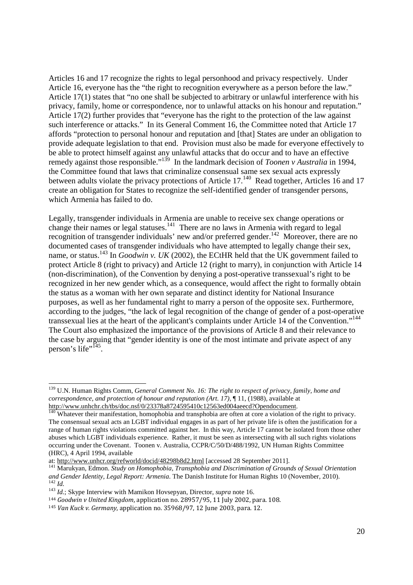Articles 16 and 17 recognize the rights to legal personhood and privacy respectively. Under Article 16, everyone has the "the right to recognition everywhere as a person before the law." Article 17(1) states that "no one shall be subjected to arbitrary or unlawful interference with his privacy, family, home or correspondence, nor to unlawful attacks on his honour and reputation." Article 17(2) further provides that "everyone has the right to the protection of the law against such interference or attacks." In its General Comment 16, the Committee noted that Article 17 affords "protection to personal honour and reputation and [that] States are under an obligation to provide adequate legislation to that end. Provision must also be made for everyone effectively to be able to protect himself against any unlawful attacks that do occur and to have an effective remedy against those responsible."<sup>139</sup> In the landmark decision of *Toonen v Australia* in 1994, the Committee found that laws that criminalize consensual same sex sexual acts expressly between adults violate the privacy protections of Article 17.<sup>140</sup> Read together, Articles 16 and 17 create an obligation for States to recognize the self-identified gender of transgender persons, which Armenia has failed to do.

Legally, transgender individuals in Armenia are unable to receive sex change operations or change their names or legal statuses.<sup>141</sup> There are no laws in Armenia with regard to legal recognition of transgender individuals' new and/or preferred gender.<sup>142</sup> Moreover, there are no documented cases of transgender individuals who have attempted to legally change their sex, name, or status.<sup>143</sup> In *Goodwin v. UK* (2002), the ECtHR held that the UK government failed to protect Article 8 (right to privacy) and Article 12 (right to marry), in conjunction with Article 14 (non-discrimination), of the Convention by denying a post-operative transsexual's right to be recognized in her new gender which, as a consequence, would affect the right to formally obtain the status as a woman with her own separate and distinct identity for National Insurance purposes, as well as her fundamental right to marry a person of the opposite sex. Furthermore, according to the judges, "the lack of legal recognition of the change of gender of a post-operative transsexual lies at the heart of the applicant's complaints under Article 14 of the Convention."<sup>144</sup> The Court also emphasized the importance of the provisions of Article 8 and their relevance to the case by arguing that "gender identity is one of the most intimate and private aspect of any person's life"<sup>145</sup>.

 <sup>139</sup> U.N. Human Rights Comm, *General Comment No. 16: The right to respect of privacy, family, home and correspondence, and protection of honour and reputation (Art. 17)*, ¶ 11, (1988), available at http://www.unhchr.ch/tbs/doc.nsf/0/23378a8724595410c12563ed004aeecd?Opendocument.

 $140$  Whatever their manifestation, homophobia and transphobia are often at core a violation of the right to privacy. The consensual sexual acts an LGBT individual engages in as part of her private life is often the justification for a range of human rights violations committed against her. In this way, Article 17 cannot be isolated from those other abuses which LGBT individuals experience. Rather, it must be seen as intersecting with all such rights violations occurring under the Covenant. Toonen v. Australia, CCPR/C/50/D/488/1992, UN Human Rights Committee (HRC), 4 April 1994, available

at: http://www.unhcr.org/refworld/docid/48298b8d2.html [accessed 28 September 2011].

<sup>141</sup> Marukyan, Edmon. *Study on Homophobia, Transphobia and Discrimination of Grounds of Sexual Orientation and Gender Identity, Legal Report: Armenia*. The Danish Institute for Human Rights 10 (November, 2010). <sup>142</sup> *Id.*

<sup>143</sup> *Id.*; Skype Interview with Mamikon Hovsepyan, Director, *supra* note 16.

<sup>144</sup> *Goodwin v United Kingdom*, application no. 28957/95, 11 July 2002, para. 108.

<sup>145</sup> *Van Kuck v. Germany*, application no. 35968/97, 12 June 2003, para. 12.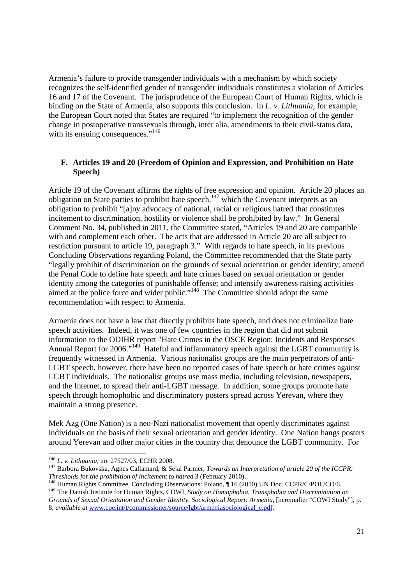Armenia's failure to provide transgender individuals with a mechanism by which society recognizes the self-identified gender of transgender individuals constitutes a violation of Articles 16 and 17 of the Covenant. The jurisprudence of the European Court of Human Rights, which is binding on the State of Armenia, also supports this conclusion. In *L. v. Lithuania*, for example, the European Court noted that States are required "to implement the recognition of the gender change in postoperative transsexuals through, inter alia, amendments to their civil-status data, with its ensuing consequences."<sup>146</sup>

#### **F. Articles 19 and 20 (Freedom of Opinion and Expression, and Prohibition on Hate Speech)**

Article 19 of the Covenant affirms the rights of free expression and opinion. Article 20 places an obligation on State parties to prohibit hate speech,<sup>147</sup> which the Covenant interprets as an obligation to prohibit "[a]ny advocacy of national, racial or religious hatred that constitutes incitement to discrimination, hostility or violence shall be prohibited by law." In General Comment No. 34, published in 2011, the Committee stated, "Articles 19 and 20 are compatible with and complement each other. The acts that are addressed in Article 20 are all subject to restriction pursuant to article 19, paragraph 3." With regards to hate speech, in its previous Concluding Observations regarding Poland, the Committee recommended that the State party "legally prohibit of discrimination on the grounds of sexual orientation or gender identity; amend the Penal Code to define hate speech and hate crimes based on sexual orientation or gender identity among the categories of punishable offense; and intensify awareness raising activities aimed at the police force and wider public."<sup>148</sup> The Committee should adopt the same recommendation with respect to Armenia.

Armenia does not have a law that directly prohibits hate speech, and does not criminalize hate speech activities. Indeed, it was one of few countries in the region that did not submit information to the ODIHR report "Hate Crimes in the OSCE Region: Incidents and Responses Annual Report for 2006."<sup>149</sup> Hateful and inflammatory speech against the LGBT community is frequently witnessed in Armenia. Various nationalist groups are the main perpetrators of anti-LGBT speech, however, there have been no reported cases of hate speech or hate crimes against LGBT individuals. The nationalist groups use mass media, including television, newspapers, and the Internet, to spread their anti-LGBT message. In addition, some groups promote hate speech through homophobic and discriminatory posters spread across Yerevan, where they maintain a strong presence.

Mek Azg (One Nation) is a neo-Nazi nationalist movement that openly discriminates against individuals on the basis of their sexual orientation and gender identity. One Nation hangs posters around Yerevan and other major cities in the country that denounce the LGBT community. For

<sup>-</sup><sup>146</sup> *L. v. Lithuania*, no. 27527/03, ECHR 2008.

<sup>147</sup> Barbora Bukovska, Agnes Callamard, & Sejal Parmer, *Towards an Interpretation of article 20 of the ICCPR: Thresholds for the prohibition of incitement to hatred* 3 (February 2010).

<sup>148</sup> Human Rights Committee, Concluding Observations: Poland, ¶ 16 (2010) UN Doc. CCPR/C/POL/CO/6.

<sup>&</sup>lt;sup>149</sup> The Danish Institute for Human Rights, COWI, *Study on Homophobia, Transphobia and Discrimination on Grounds of Sexual Orientation and Gender Identity, Sociological Report: Armenia*, [hereinafter "COWI Study"], p. 8, *available at* www.coe.int/t/commissioner/source/lgbt/armeniasociological\_e.pdf.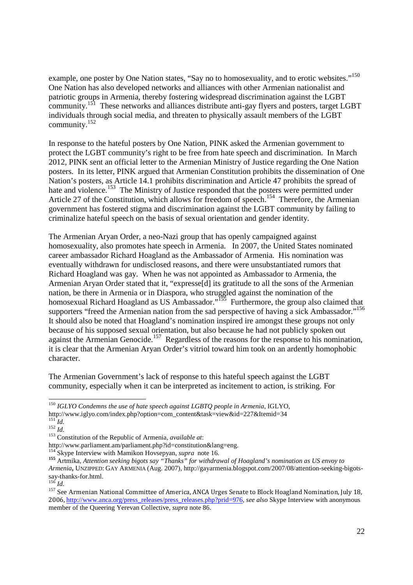example, one poster by One Nation states, "Say no to homosexuality, and to erotic websites."<sup>150</sup> One Nation has also developed networks and alliances with other Armenian nationalist and patriotic groups in Armenia, thereby fostering widespread discrimination against the LGBT community.<sup>151</sup> These networks and alliances distribute anti-gay flyers and posters, target LGBT individuals through social media, and threaten to physically assault members of the LGBT community.<sup>152</sup>

In response to the hateful posters by One Nation, PINK asked the Armenian government to protect the LGBT community's right to be free from hate speech and discrimination. In March 2012, PINK sent an official letter to the Armenian Ministry of Justice regarding the One Nation posters. In its letter, PINK argued that Armenian Constitution prohibits the dissemination of One Nation's posters, as Article 14.1 prohibits discrimination and Article 47 prohibits the spread of hate and violence.<sup>153</sup> The Ministry of Justice responded that the posters were permitted under Article 27 of the Constitution, which allows for freedom of speech.<sup>154</sup> Therefore, the Armenian government has fostered stigma and discrimination against the LGBT community by failing to criminalize hateful speech on the basis of sexual orientation and gender identity.

The Armenian Aryan Order, a neo-Nazi group that has openly campaigned against homosexuality, also promotes hate speech in Armenia. In 2007, the United States nominated career ambassador Richard Hoagland as the Ambassador of Armenia. His nomination was eventually withdrawn for undisclosed reasons, and there were unsubstantiated rumors that Richard Hoagland was gay. When he was not appointed as Ambassador to Armenia, the Armenian Aryan Order stated that it, "expresse[d] its gratitude to all the sons of the Armenian nation, be there in Armenia or in Diaspora, who struggled against the nomination of the homosexual Richard Hoagland as US Ambassador."<sup>155</sup> Furthermore, the group also claimed that supporters "freed the Armenian nation from the sad perspective of having a sick Ambassador."<sup>156</sup> It should also be noted that Hoagland's nomination inspired ire amongst these groups not only because of his supposed sexual orientation, but also because he had not publicly spoken out against the Armenian Genocide.<sup>157</sup> Regardless of the reasons for the response to his nomination, it is clear that the Armenian Aryan Order's vitriol toward him took on an ardently homophobic character.

The Armenian Government's lack of response to this hateful speech against the LGBT community, especially when it can be interpreted as incitement to action, is striking. For

http://www.iglyo.com/index.php?option=com\_content&task=view&id=227&Itemid=34

http://www.parliament.am/parliament.php?id=constitution&lang=eng.

**<sup>.</sup>** <sup>150</sup> *IGLYO Condemns the use of hate speech against LGBTQ people in Armenia*, IGLYO,

 $151$ <sup>1</sup>*Id.*  $^{152}$  *Id.* 

<sup>153</sup> Constitution of the Republic of Armenia, *available at*:

<sup>154</sup> Skype Interview with Mamikon Hovsepyan, *supra* note 16.

**<sup>155</sup>** Artmika, *Attention seeking bigots say "Thanks" for withdrawal of Hoagland's nomination as US envoy to Armenia***,** UNZIPPED: GAY ARMENIA (Aug. 2007), http://gayarmenia.blogspot.com/2007/08/attention-seeking-bigotssay-thanks-for.html.

<sup>156</sup> *Id.*

<sup>&</sup>lt;sup>157</sup> See Armenian National Committee of America, ANCA Urges Senate to Block Hoagland Nomination, July 18, 2006, http://www.anca.org/press\_releases/press\_releases.php?prid=976, *see also* Skype Interview with anonymous member of the Queering Yerevan Collective, *supra* note 86.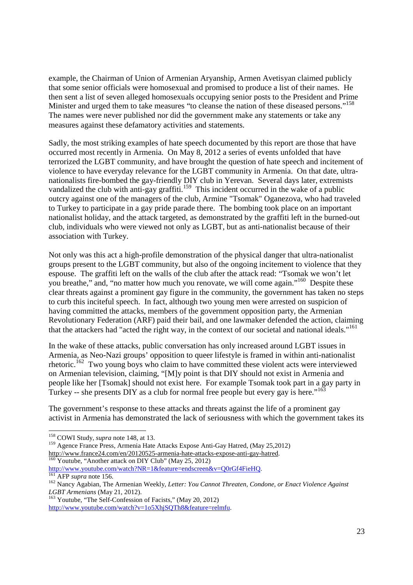example, the Chairman of Union of Armenian Aryanship, Armen Avetisyan claimed publicly that some senior officials were homosexual and promised to produce a list of their names. He then sent a list of seven alleged homosexuals occupying senior posts to the President and Prime Minister and urged them to take measures "to cleanse the nation of these diseased persons."<sup>158</sup> The names were never published nor did the government make any statements or take any measures against these defamatory activities and statements.

Sadly, the most striking examples of hate speech documented by this report are those that have occurred most recently in Armenia. On May 8, 2012 a series of events unfolded that have terrorized the LGBT community, and have brought the question of hate speech and incitement of violence to have everyday relevance for the LGBT community in Armenia. On that date, ultranationalists fire-bombed the gay-friendly DIY club in Yerevan. Several days later, extremists vandalized the club with anti-gay graffiti.<sup>159</sup> This incident occurred in the wake of a public outcry against one of the managers of the club, Armine "Tsomak" Oganezova, who had traveled to Turkey to participate in a gay pride parade there. The bombing took place on an important nationalist holiday, and the attack targeted, as demonstrated by the graffiti left in the burned-out club, individuals who were viewed not only as LGBT, but as anti-nationalist because of their association with Turkey.

Not only was this act a high-profile demonstration of the physical danger that ultra-nationalist groups present to the LGBT community, but also of the ongoing incitement to violence that they espouse. The graffiti left on the walls of the club after the attack read: "Tsomak we won't let you breathe," and, "no matter how much you renovate, we will come again."<sup>160</sup> Despite these clear threats against a prominent gay figure in the community, the government has taken no steps to curb this inciteful speech. In fact, although two young men were arrested on suspicion of having committed the attacks, members of the government opposition party, the Armenian Revolutionary Federation (ARF) paid their bail, and one lawmaker defended the action, claiming that the attackers had "acted the right way, in the context of our societal and national ideals."<sup>161</sup>

In the wake of these attacks, public conversation has only increased around LGBT issues in Armenia, as Neo-Nazi groups' opposition to queer lifestyle is framed in within anti-nationalist rhetoric.<sup>162</sup> Two young boys who claim to have committed these violent acts were interviewed on Armenian television, claiming, "[M]y point is that DIY should not exist in Armenia and people like her [Tsomak] should not exist here. For example Tsomak took part in a gay party in Turkey -- she presents DIY as a club for normal free people but every gay is here."<sup>163</sup>

The government's response to these attacks and threats against the life of a prominent gay activist in Armenia has demonstrated the lack of seriousness with which the government takes its

http://www.france24.com/en/20120525-armenia-hate-attacks-expose-anti-gay-hatred.  $^{160}$  Youtube, "Another attack on DIY Club" (May 25, 2012)

http://www.youtube.com/watch?NR=1&feature=endscreen&v=Q0rGf4FieHQ.

**<sup>.</sup>** <sup>158</sup> COWI Study, *supra* note 148, at 13.

<sup>&</sup>lt;sup>159</sup> Agence France Press, Armenia Hate Attacks Expose Anti-Gay Hatred, (May 25,2012)

<sup>161</sup> AFP *supra* note 156.

<sup>162</sup> Nancy Agabian, The Armenian Weekly, *Letter: You Cannot Threaten, Condone, or Enact Violence Against LGBT Armenians* (May 21, 2012).

<sup>163</sup> Youtube, "The Self-Confession of Facists," (May 20, 2012) http://www.youtube.com/watch?v=1o5XhjSQTh8&feature=relmfu.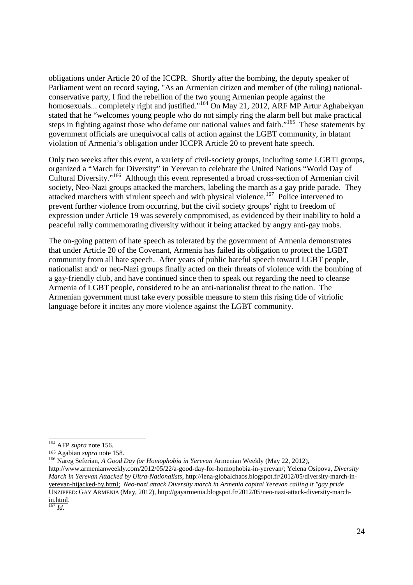obligations under Article 20 of the ICCPR. Shortly after the bombing, the deputy speaker of Parliament went on record saying, "As an Armenian citizen and member of (the ruling) nationalconservative party, I find the rebellion of the two young Armenian people against the homosexuals... completely right and justified."<sup>164</sup> On May 21, 2012, ARF MP Artur Aghabekyan stated that he "welcomes young people who do not simply ring the alarm bell but make practical steps in fighting against those who defame our national values and faith."<sup>165</sup> These statements by government officials are unequivocal calls of action against the LGBT community, in blatant violation of Armenia's obligation under ICCPR Article 20 to prevent hate speech.

Only two weeks after this event, a variety of civil-society groups, including some LGBTI groups, organized a "March for Diversity" in Yerevan to celebrate the United Nations "World Day of Cultural Diversity."<sup>166</sup> Although this event represented a broad cross-section of Armenian civil society, Neo-Nazi groups attacked the marchers, labeling the march as a gay pride parade. They attacked marchers with virulent speech and with physical violence.<sup>167</sup> Police intervened to prevent further violence from occurring, but the civil society groups' right to freedom of expression under Article 19 was severely compromised, as evidenced by their inability to hold a peaceful rally commemorating diversity without it being attacked by angry anti-gay mobs.

The on-going pattern of hate speech as tolerated by the government of Armenia demonstrates that under Article 20 of the Covenant, Armenia has failed its obligation to protect the LGBT community from all hate speech. After years of public hateful speech toward LGBT people, nationalist and/ or neo-Nazi groups finally acted on their threats of violence with the bombing of a gay-friendly club, and have continued since then to speak out regarding the need to cleanse Armenia of LGBT people, considered to be an anti-nationalist threat to the nation. The Armenian government must take every possible measure to stem this rising tide of vitriolic language before it incites any more violence against the LGBT community.

<sup>164</sup> AFP *supra* note 156.

<sup>165</sup> Agabian *supra* note 158.

<sup>166</sup> Nareg Seferian, *A Good Day for Homophobia in Yerevan* Armenian Weekly (May 22, 2012)*,* 

http://www.armenianweekly.com/2012/05/22/a-good-day-for-homophobia-in-yerevan/; Yelena Osipova, *Diversity March in Yerevan Attacked by Ultra-Nationalists,* http://lena-globalchaos.blogspot.fr/2012/05/diversity-march-inyerevan-hijacked-by.html;*Neo-nazi attack Diversity march in Armenia capital Yerevan calling it "gay pride*  UNZIPPED: GAY ARMENIA (May, 2012), http://gayarmenia.blogspot.fr/2012/05/neo-nazi-attack-diversity-marchin.html.

<sup>167</sup> *Id.*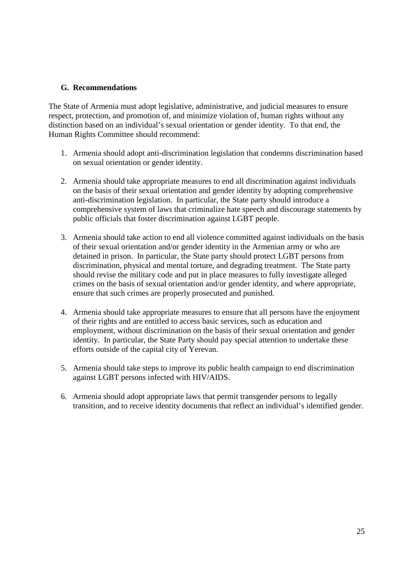#### **G. Recommendations**

The State of Armenia must adopt legislative, administrative, and judicial measures to ensure respect, protection, and promotion of, and minimize violation of, human rights without any distinction based on an individual's sexual orientation or gender identity. To that end, the Human Rights Committee should recommend:

- 1. Armenia should adopt anti-discrimination legislation that condemns discrimination based on sexual orientation or gender identity.
- 2. Armenia should take appropriate measures to end all discrimination against individuals on the basis of their sexual orientation and gender identity by adopting comprehensive anti-discrimination legislation. In particular, the State party should introduce a comprehensive system of laws that criminalize hate speech and discourage statements by public officials that foster discrimination against LGBT people.
- 3. Armenia should take action to end all violence committed against individuals on the basis of their sexual orientation and/or gender identity in the Armenian army or who are detained in prison. In particular, the State party should protect LGBT persons from discrimination, physical and mental torture, and degrading treatment. The State party should revise the military code and put in place measures to fully investigate alleged crimes on the basis of sexual orientation and/or gender identity, and where appropriate, ensure that such crimes are properly prosecuted and punished.
- 4. Armenia should take appropriate measures to ensure that all persons have the enjoyment of their rights and are entitled to access basic services, such as education and employment, without discrimination on the basis of their sexual orientation and gender identity. In particular, the State Party should pay special attention to undertake these efforts outside of the capital city of Yerevan.
- 5. Armenia should take steps to improve its public health campaign to end discrimination against LGBT persons infected with HIV/AIDS.
- 6. Armenia should adopt appropriate laws that permit transgender persons to legally transition, and to receive identity documents that reflect an individual's identified gender.